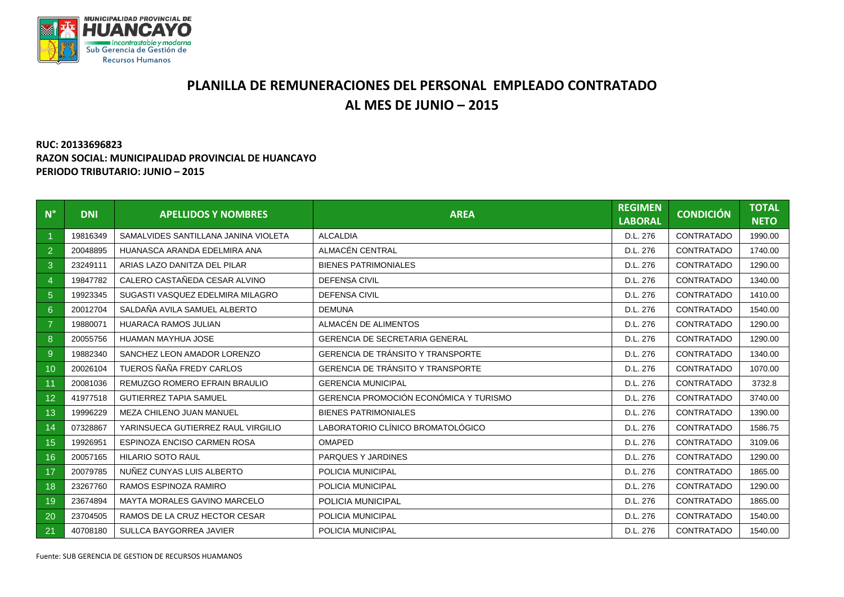

## **PLANILLA DE REMUNERACIONES DEL PERSONAL EMPLEADO CONTRATADO AL MES DE JUNIO – 2015**

## **RUC: 20133696823 RAZON SOCIAL: MUNICIPALIDAD PROVINCIAL DE HUANCAYO PERIODO TRIBUTARIO: JUNIO – 2015**

| $N^{\circ}$     | <b>DNI</b> | <b>APELLIDOS Y NOMBRES</b>           | <b>AREA</b>                              | <b>REGIMEN</b><br><b>LABORAL</b> | <b>CONDICIÓN</b>  | <b>TOTAL</b><br><b>NETO</b> |
|-----------------|------------|--------------------------------------|------------------------------------------|----------------------------------|-------------------|-----------------------------|
|                 | 19816349   | SAMALVIDES SANTILLANA JANINA VIOLETA | <b>ALCALDIA</b>                          | D.L. 276                         | CONTRATADO        | 1990.00                     |
| $\overline{2}$  | 20048895   | HUANASCA ARANDA EDELMIRA ANA         | ALMACÉN CENTRAL                          | D.L. 276                         | CONTRATADO        | 1740.00                     |
| 3               | 23249111   | ARIAS LAZO DANITZA DEL PILAR         | <b>BIENES PATRIMONIALES</b>              | D.L. 276                         | CONTRATADO        | 1290.00                     |
| $\overline{4}$  | 19847782   | CALERO CASTAÑEDA CESAR ALVINO        | <b>DEFENSA CIVIL</b>                     | D.L. 276                         | CONTRATADO        | 1340.00                     |
| 5 <sup>5</sup>  | 19923345   | SUGASTI VASQUEZ EDELMIRA MILAGRO     | <b>DEFENSA CIVIL</b>                     | D.L. 276                         | CONTRATADO        | 1410.00                     |
| 6 <sup>°</sup>  | 20012704   | SALDAÑA AVILA SAMUEL ALBERTO         | <b>DEMUNA</b>                            | D.L. 276                         | CONTRATADO        | 1540.00                     |
| $\overline{7}$  | 19880071   | <b>HUARACA RAMOS JULIAN</b>          | ALMACÉN DE ALIMENTOS                     | D.L. 276                         | CONTRATADO        | 1290.00                     |
| $\bf 8$         | 20055756   | HUAMAN MAYHUA JOSE                   | <b>GERENCIA DE SECRETARIA GENERAL</b>    | D.L. 276                         | CONTRATADO        | 1290.00                     |
| 9               | 19882340   | SANCHEZ LEON AMADOR LORENZO          | GERENCIA DE TRÁNSITO Y TRANSPORTE        | D.L. 276                         | CONTRATADO        | 1340.00                     |
| 10              | 20026104   | TUEROS ÑAÑA FREDY CARLOS             | <b>GERENCIA DE TRÁNSITO Y TRANSPORTE</b> | D.L. 276                         | CONTRATADO        | 1070.00                     |
| 11              | 20081036   | REMUZGO ROMERO EFRAIN BRAULIO        | <b>GERENCIA MUNICIPAL</b>                | D.L. 276                         | CONTRATADO        | 3732.8                      |
| 12 <sup>2</sup> | 41977518   | <b>GUTIERREZ TAPIA SAMUEL</b>        | GERENCIA PROMOCIÓN ECONÓMICA Y TURISMO   | D.L. 276                         | CONTRATADO        | 3740.00                     |
| 13              | 19996229   | MEZA CHILENO JUAN MANUEL             | <b>BIENES PATRIMONIALES</b>              | D.L. 276                         | CONTRATADO        | 1390.00                     |
| 14              | 07328867   | YARINSUECA GUTIERREZ RAUL VIRGILIO   | LABORATORIO CLÍNICO BROMATOLÓGICO        | D.L. 276                         | CONTRATADO        | 1586.75                     |
| 15              | 19926951   | ESPINOZA ENCISO CARMEN ROSA          | <b>OMAPED</b>                            | D.L. 276                         | CONTRATADO        | 3109.06                     |
| 16              | 20057165   | <b>HILARIO SOTO RAUL</b>             | PARQUES Y JARDINES                       | D.L. 276                         | CONTRATADO        | 1290.00                     |
| 17              | 20079785   | NUÑEZ CUNYAS LUIS ALBERTO            | POLICIA MUNICIPAL                        | D.L. 276                         | CONTRATADO        | 1865.00                     |
| 18              | 23267760   | RAMOS ESPINOZA RAMIRO                | POLICIA MUNICIPAL                        | D.L. 276                         | CONTRATADO        | 1290.00                     |
| 19              | 23674894   | MAYTA MORALES GAVINO MARCELO         | POLICIA MUNICIPAL                        | D.L. 276                         | <b>CONTRATADO</b> | 1865.00                     |
| 20              | 23704505   | RAMOS DE LA CRUZ HECTOR CESAR        | POLICIA MUNICIPAL                        | D.L. 276                         | CONTRATADO        | 1540.00                     |
| 21              | 40708180   | SULLCA BAYGORREA JAVIER              | POLICIA MUNICIPAL                        | D.L. 276                         | CONTRATADO        | 1540.00                     |